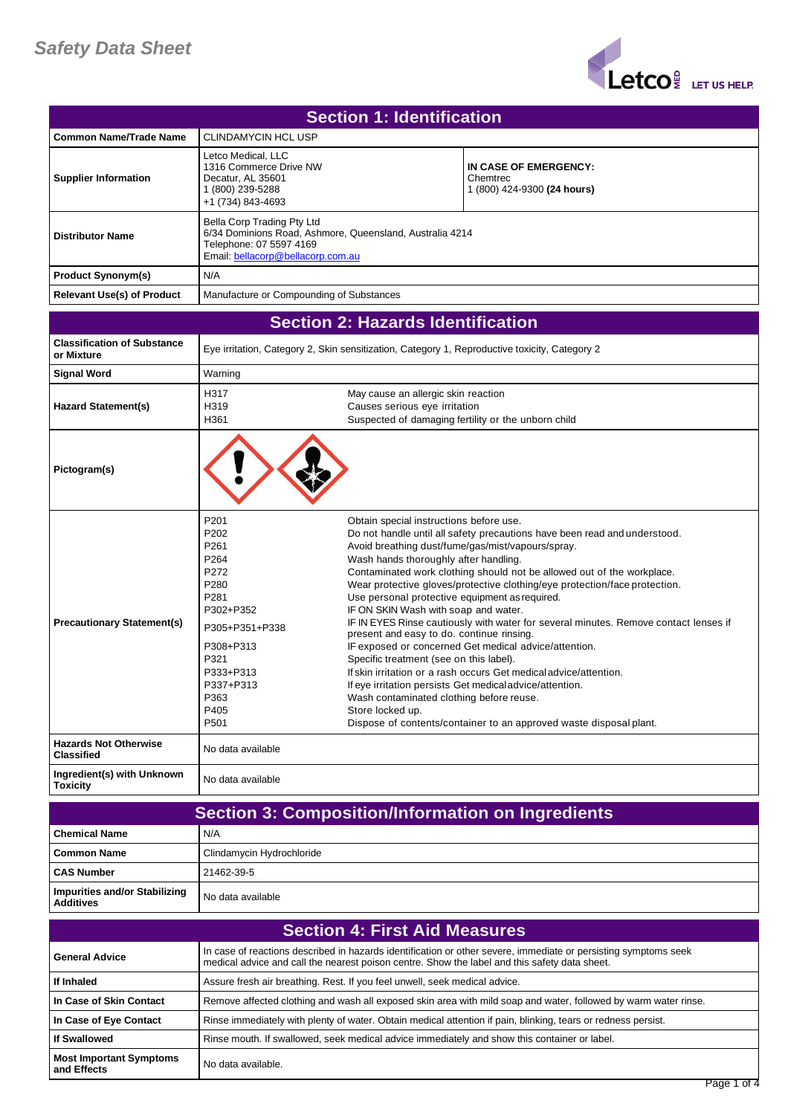

| <b>Section 1: Identification</b>  |                                                                                                                                                        |                                                                  |
|-----------------------------------|--------------------------------------------------------------------------------------------------------------------------------------------------------|------------------------------------------------------------------|
| Common Name/Trade Name            | <b>CLINDAMYCIN HCL USP</b>                                                                                                                             |                                                                  |
| <b>Supplier Information</b>       | Letco Medical, LLC<br>1316 Commerce Drive NW<br>Decatur, AL 35601<br>(800) 239-5288<br>+1 (734) 843-4693                                               | IN CASE OF EMERGENCY:<br>Chemtrec<br>1 (800) 424-9300 (24 hours) |
| <b>Distributor Name</b>           | Bella Corp Trading Pty Ltd<br>6/34 Dominions Road, Ashmore, Queensland, Australia 4214<br>Telephone: 07 5597 4169<br>Email: bellacorp@bellacorp.com.au |                                                                  |
| <b>Product Synonym(s)</b>         | N/A                                                                                                                                                    |                                                                  |
| <b>Relevant Use(s) of Product</b> | Manufacture or Compounding of Substances                                                                                                               |                                                                  |

|                                                   |                                                                                                                                                                                                | <b>Section 2: Hazards Identification</b>                                                                                                                                                                                                                                                                                                                                                                                                                                                                                                                                                                                                                                                                                                                                                                                                                                                                                                                                             |
|---------------------------------------------------|------------------------------------------------------------------------------------------------------------------------------------------------------------------------------------------------|--------------------------------------------------------------------------------------------------------------------------------------------------------------------------------------------------------------------------------------------------------------------------------------------------------------------------------------------------------------------------------------------------------------------------------------------------------------------------------------------------------------------------------------------------------------------------------------------------------------------------------------------------------------------------------------------------------------------------------------------------------------------------------------------------------------------------------------------------------------------------------------------------------------------------------------------------------------------------------------|
| <b>Classification of Substance</b><br>or Mixture  |                                                                                                                                                                                                | Eye irritation, Category 2, Skin sensitization, Category 1, Reproductive toxicity, Category 2                                                                                                                                                                                                                                                                                                                                                                                                                                                                                                                                                                                                                                                                                                                                                                                                                                                                                        |
| <b>Signal Word</b>                                | Warning                                                                                                                                                                                        |                                                                                                                                                                                                                                                                                                                                                                                                                                                                                                                                                                                                                                                                                                                                                                                                                                                                                                                                                                                      |
| <b>Hazard Statement(s)</b>                        | H317<br>H319<br>H361                                                                                                                                                                           | May cause an allergic skin reaction<br>Causes serious eye irritation<br>Suspected of damaging fertility or the unborn child                                                                                                                                                                                                                                                                                                                                                                                                                                                                                                                                                                                                                                                                                                                                                                                                                                                          |
| Pictogram(s)                                      |                                                                                                                                                                                                |                                                                                                                                                                                                                                                                                                                                                                                                                                                                                                                                                                                                                                                                                                                                                                                                                                                                                                                                                                                      |
| <b>Precautionary Statement(s)</b>                 | P <sub>201</sub><br>P <sub>202</sub><br>P261<br>P <sub>264</sub><br>P272<br>P280<br>P281<br>P302+P352<br>P305+P351+P338<br>P308+P313<br>P321<br>P333+P313<br>P337+P313<br>P363<br>P405<br>P501 | Obtain special instructions before use.<br>Do not handle until all safety precautions have been read and understood.<br>Avoid breathing dust/fume/gas/mist/vapours/spray.<br>Wash hands thoroughly after handling.<br>Contaminated work clothing should not be allowed out of the workplace.<br>Wear protective gloves/protective clothing/eye protection/face protection.<br>Use personal protective equipment as required.<br>IF ON SKIN Wash with soap and water.<br>IF IN EYES Rinse cautiously with water for several minutes. Remove contact lenses if<br>present and easy to do. continue rinsing.<br>IF exposed or concerned Get medical advice/attention.<br>Specific treatment (see on this label).<br>If skin irritation or a rash occurs Get medical advice/attention.<br>If eye irritation persists Get medical advice/attention.<br>Wash contaminated clothing before reuse.<br>Store locked up.<br>Dispose of contents/container to an approved waste disposal plant. |
| <b>Hazards Not Otherwise</b><br><b>Classified</b> | No data available                                                                                                                                                                              |                                                                                                                                                                                                                                                                                                                                                                                                                                                                                                                                                                                                                                                                                                                                                                                                                                                                                                                                                                                      |
| Ingredient(s) with Unknown<br><b>Toxicity</b>     | No data available                                                                                                                                                                              |                                                                                                                                                                                                                                                                                                                                                                                                                                                                                                                                                                                                                                                                                                                                                                                                                                                                                                                                                                                      |

| <b>Section 3: Composition/Information on Ingredients</b> |                           |
|----------------------------------------------------------|---------------------------|
| <b>Chemical Name</b>                                     | N/A                       |
| Common Name                                              | Clindamycin Hydrochloride |
| <b>CAS Number</b>                                        | 21462-39-5                |
| Impurities and/or Stabilizing<br><b>Additives</b>        | No data available         |

| <b>Section 4: First Aid Measures</b>          |                                                                                                                                                                                                                  |
|-----------------------------------------------|------------------------------------------------------------------------------------------------------------------------------------------------------------------------------------------------------------------|
| <b>General Advice</b>                         | In case of reactions described in hazards identification or other severe, immediate or persisting symptoms seek<br>medical advice and call the nearest poison centre. Show the label and this safety data sheet. |
| If Inhaled                                    | Assure fresh air breathing. Rest. If you feel unwell, seek medical advice.                                                                                                                                       |
| In Case of Skin Contact                       | Remove affected clothing and wash all exposed skin area with mild soap and water, followed by warm water rinse.                                                                                                  |
| In Case of Eye Contact                        | Rinse immediately with plenty of water. Obtain medical attention if pain, blinking, tears or redness persist.                                                                                                    |
| <b>If Swallowed</b>                           | Rinse mouth. If swallowed, seek medical advice immediately and show this container or label.                                                                                                                     |
| <b>Most Important Symptoms</b><br>and Effects | No data available.                                                                                                                                                                                               |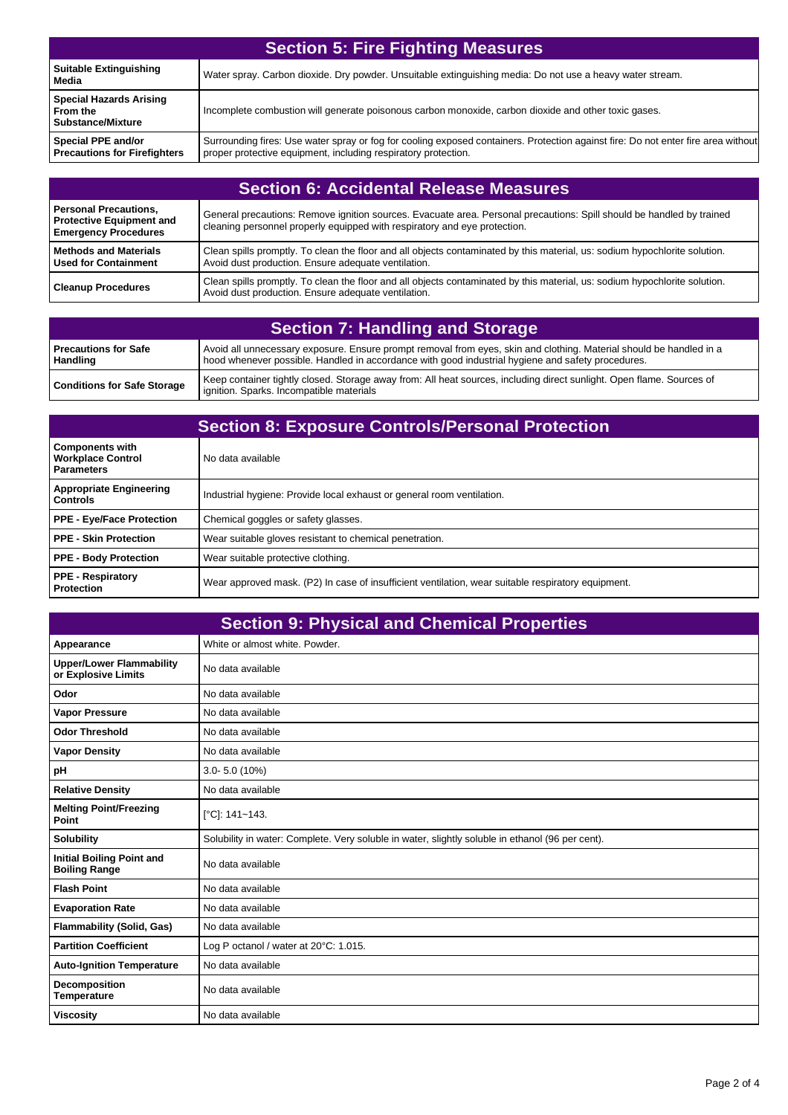| <b>Section 5: Fire Fighting Measures</b>                               |                                                                                                                                                                                                     |
|------------------------------------------------------------------------|-----------------------------------------------------------------------------------------------------------------------------------------------------------------------------------------------------|
| <b>Suitable Extinguishing</b><br>Media                                 | Water spray. Carbon dioxide. Dry powder. Unsuitable extinguishing media: Do not use a heavy water stream.                                                                                           |
| <b>Special Hazards Arising</b><br>From the<br><b>Substance/Mixture</b> | Incomplete combustion will generate poisonous carbon monoxide, carbon dioxide and other toxic gases.                                                                                                |
| Special PPE and/or<br><b>Precautions for Firefighters</b>              | Surrounding fires: Use water spray or fog for cooling exposed containers. Protection against fire: Do not enter fire area without<br>proper protective equipment, including respiratory protection. |

| <b>Section 6: Accidental Release Measures</b>                                           |                                                                                                                                                                                                    |
|-----------------------------------------------------------------------------------------|----------------------------------------------------------------------------------------------------------------------------------------------------------------------------------------------------|
| Personal Precautions,<br><b>Protective Equipment and</b><br><b>Emergency Procedures</b> | General precautions: Remove ignition sources. Evacuate area. Personal precautions: Spill should be handled by trained<br>cleaning personnel properly equipped with respiratory and eye protection. |
| l Methods and Materials<br>Used for Containment                                         | Clean spills promptly. To clean the floor and all objects contaminated by this material, us: sodium hypochlorite solution.<br>Avoid dust production. Ensure adequate ventilation.                  |
| <b>Cleanup Procedures</b>                                                               | Clean spills promptly. To clean the floor and all objects contaminated by this material, us: sodium hypochlorite solution.<br>Avoid dust production. Ensure adequate ventilation.                  |

| Section 7: Handling and Storage         |                                                                                                                                                                                                                          |
|-----------------------------------------|--------------------------------------------------------------------------------------------------------------------------------------------------------------------------------------------------------------------------|
| <b>Precautions for Safe</b><br>Handling | Avoid all unnecessary exposure. Ensure prompt removal from eyes, skin and clothing. Material should be handled in a<br>hood whenever possible. Handled in accordance with good industrial hygiene and safety procedures. |
| <b>Conditions for Safe Storage</b>      | Keep container tightly closed. Storage away from: All heat sources, including direct sunlight. Open flame. Sources of<br>ignition. Sparks. Incompatible materials                                                        |

| <b>Section 8: Exposure Controls/Personal Protection</b>                 |                                                                                                    |
|-------------------------------------------------------------------------|----------------------------------------------------------------------------------------------------|
| <b>Components with</b><br><b>Workplace Control</b><br><b>Parameters</b> | No data available                                                                                  |
| <b>Appropriate Engineering</b><br><b>Controls</b>                       | Industrial hygiene: Provide local exhaust or general room ventilation.                             |
| <b>PPE - Eye/Face Protection</b>                                        | Chemical goggles or safety glasses.                                                                |
| <b>PPE - Skin Protection</b>                                            | Wear suitable gloves resistant to chemical penetration.                                            |
| <b>PPE - Body Protection</b>                                            | Wear suitable protective clothing.                                                                 |
| <b>PPE - Respiratory</b><br>Protection                                  | Wear approved mask. (P2) In case of insufficient ventilation, wear suitable respiratory equipment. |

| <b>Section 9: Physical and Chemical Properties</b>       |                                                                                                  |
|----------------------------------------------------------|--------------------------------------------------------------------------------------------------|
| Appearance                                               | White or almost white. Powder.                                                                   |
| <b>Upper/Lower Flammability</b><br>or Explosive Limits   | No data available                                                                                |
| Odor                                                     | No data available                                                                                |
| <b>Vapor Pressure</b>                                    | No data available                                                                                |
| <b>Odor Threshold</b>                                    | No data available                                                                                |
| <b>Vapor Density</b>                                     | No data available                                                                                |
| pH                                                       | $3.0 - 5.0$ (10%)                                                                                |
| <b>Relative Density</b>                                  | No data available                                                                                |
| <b>Melting Point/Freezing</b><br>Point                   | [°C]: 141~143.                                                                                   |
| <b>Solubility</b>                                        | Solubility in water: Complete. Very soluble in water, slightly soluble in ethanol (96 per cent). |
| <b>Initial Boiling Point and</b><br><b>Boiling Range</b> | No data available                                                                                |
| <b>Flash Point</b>                                       | No data available                                                                                |
| <b>Evaporation Rate</b>                                  | No data available                                                                                |
| <b>Flammability (Solid, Gas)</b>                         | No data available                                                                                |
| <b>Partition Coefficient</b>                             | Log P octanol / water at 20°C: 1.015.                                                            |
| <b>Auto-Ignition Temperature</b>                         | No data available                                                                                |
| Decomposition<br><b>Temperature</b>                      | No data available                                                                                |
| <b>Viscosity</b>                                         | No data available                                                                                |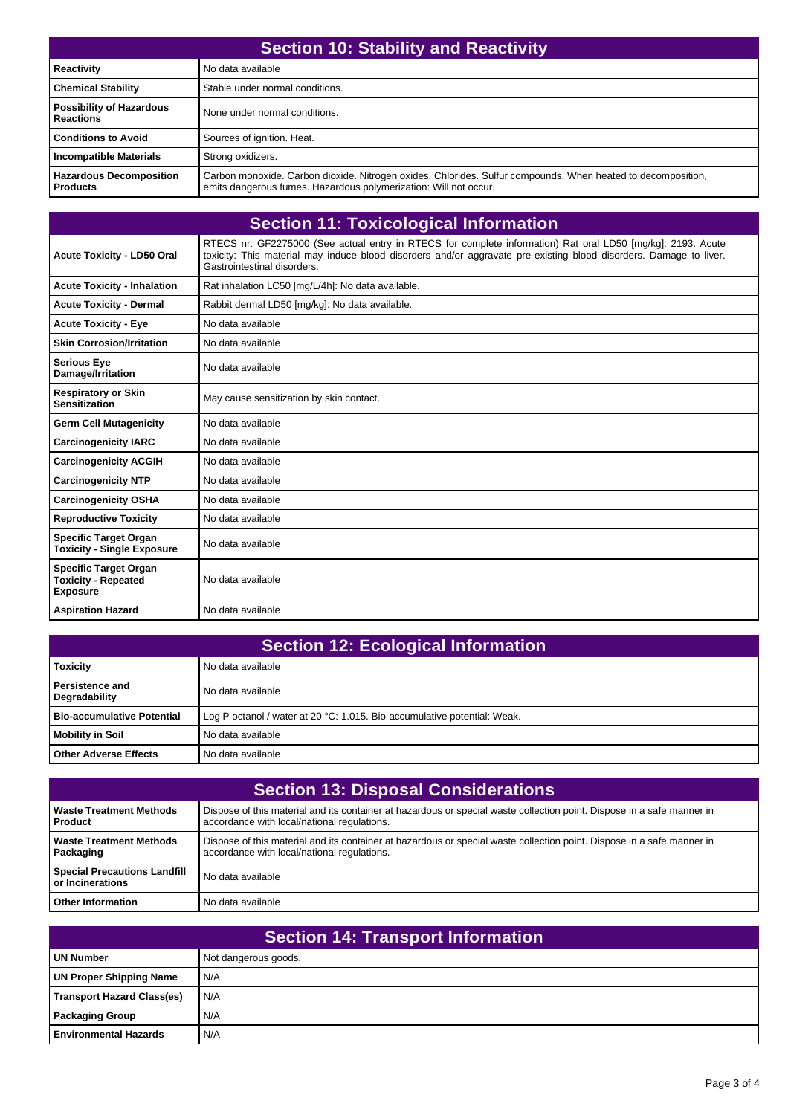| <b>Section 10: Stability and Reactivity</b>         |                                                                                                                                                                                  |
|-----------------------------------------------------|----------------------------------------------------------------------------------------------------------------------------------------------------------------------------------|
| Reactivity                                          | No data available                                                                                                                                                                |
| <b>Chemical Stability</b>                           | Stable under normal conditions.                                                                                                                                                  |
| <b>Possibility of Hazardous</b><br><b>Reactions</b> | None under normal conditions.                                                                                                                                                    |
| <b>Conditions to Avoid</b>                          | Sources of ignition. Heat.                                                                                                                                                       |
| <b>Incompatible Materials</b>                       | Strong oxidizers.                                                                                                                                                                |
| <b>Hazardous Decomposition</b><br><b>Products</b>   | Carbon monoxide. Carbon dioxide. Nitrogen oxides. Chlorides. Sulfur compounds. When heated to decomposition,<br>emits dangerous fumes. Hazardous polymerization: Will not occur. |

| <b>Section 11: Toxicological Information</b>                                  |                                                                                                                                                                                                                                                                  |
|-------------------------------------------------------------------------------|------------------------------------------------------------------------------------------------------------------------------------------------------------------------------------------------------------------------------------------------------------------|
| <b>Acute Toxicity - LD50 Oral</b>                                             | RTECS nr: GF2275000 (See actual entry in RTECS for complete information) Rat oral LD50 [mq/kq]: 2193. Acute<br>toxicity: This material may induce blood disorders and/or aggravate pre-existing blood disorders. Damage to liver.<br>Gastrointestinal disorders. |
| <b>Acute Toxicity - Inhalation</b>                                            | Rat inhalation LC50 [mq/L/4h]: No data available.                                                                                                                                                                                                                |
| <b>Acute Toxicity - Dermal</b>                                                | Rabbit dermal LD50 [mg/kg]: No data available.                                                                                                                                                                                                                   |
| <b>Acute Toxicity - Eye</b>                                                   | No data available                                                                                                                                                                                                                                                |
| <b>Skin Corrosion/Irritation</b>                                              | No data available                                                                                                                                                                                                                                                |
| <b>Serious Eye</b><br>Damage/Irritation                                       | No data available                                                                                                                                                                                                                                                |
| <b>Respiratory or Skin</b><br><b>Sensitization</b>                            | May cause sensitization by skin contact.                                                                                                                                                                                                                         |
| <b>Germ Cell Mutagenicity</b>                                                 | No data available                                                                                                                                                                                                                                                |
| <b>Carcinogenicity IARC</b>                                                   | No data available                                                                                                                                                                                                                                                |
| <b>Carcinogenicity ACGIH</b>                                                  | No data available                                                                                                                                                                                                                                                |
| <b>Carcinogenicity NTP</b>                                                    | No data available                                                                                                                                                                                                                                                |
| <b>Carcinogenicity OSHA</b>                                                   | No data available                                                                                                                                                                                                                                                |
| <b>Reproductive Toxicity</b>                                                  | No data available                                                                                                                                                                                                                                                |
| <b>Specific Target Organ</b><br><b>Toxicity - Single Exposure</b>             | No data available                                                                                                                                                                                                                                                |
| <b>Specific Target Organ</b><br><b>Toxicity - Repeated</b><br><b>Exposure</b> | No data available                                                                                                                                                                                                                                                |
| <b>Aspiration Hazard</b>                                                      | No data available                                                                                                                                                                                                                                                |

| <b>Section 12: Ecological Information</b>      |                                                                          |
|------------------------------------------------|--------------------------------------------------------------------------|
| <b>Toxicity</b>                                | No data available                                                        |
| <b>Persistence and</b><br><b>Degradability</b> | No data available                                                        |
| <b>Bio-accumulative Potential</b>              | Log P octanol / water at 20 °C: 1.015. Bio-accumulative potential: Weak. |
| Mobility in Soil                               | No data available                                                        |
| <b>Other Adverse Effects</b>                   | No data available                                                        |

| <b>Section 13: Disposal Considerations</b>              |                                                                                                                                                                       |
|---------------------------------------------------------|-----------------------------------------------------------------------------------------------------------------------------------------------------------------------|
| <b>Waste Treatment Methods</b><br><b>Product</b>        | Dispose of this material and its container at hazardous or special waste collection point. Dispose in a safe manner in<br>accordance with local/national regulations. |
| Waste Treatment Methods<br>  Packaging                  | Dispose of this material and its container at hazardous or special waste collection point. Dispose in a safe manner in<br>accordance with local/national regulations. |
| <b>Special Precautions Landfill</b><br>or Incinerations | No data available                                                                                                                                                     |
| <b>Other Information</b>                                | No data available                                                                                                                                                     |

| <b>Section 14: Transport Information</b> |                      |  |
|------------------------------------------|----------------------|--|
| UN Number                                | Not dangerous goods. |  |
| UN Proper Shipping Name                  | N/A                  |  |
| <b>Transport Hazard Class(es)</b>        | N/A                  |  |
| Packaging Group                          | N/A                  |  |
| <b>Environmental Hazards</b>             | N/A                  |  |